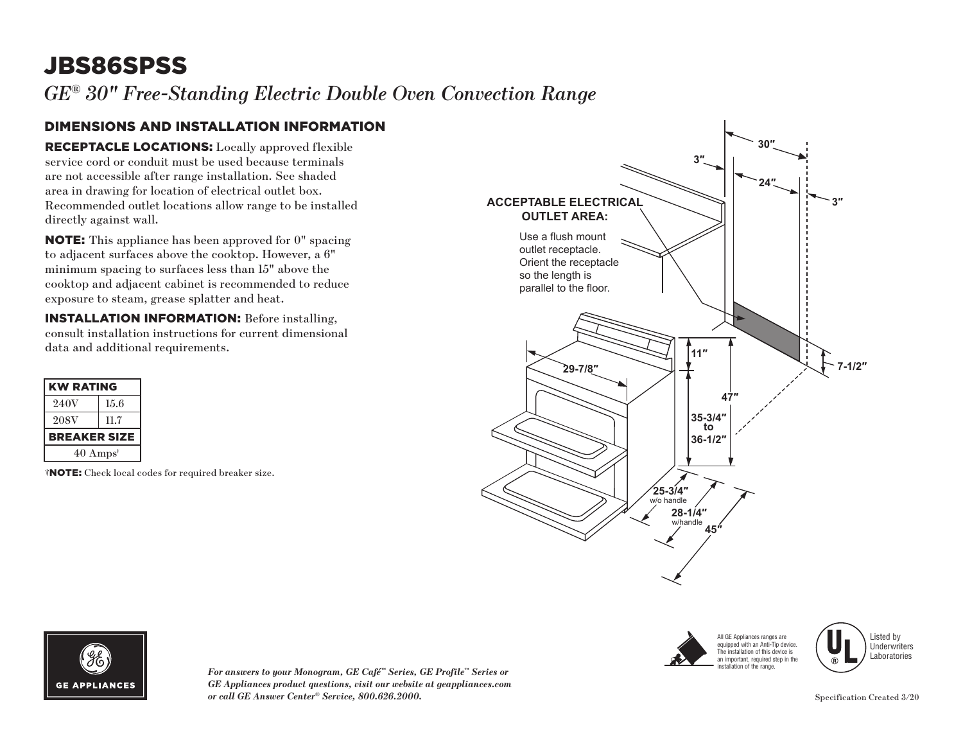# JBS86SPSS

*GE® 30" Free-Standing Electric Double Oven Convection Range* 

#### DIMENSIONS AND INSTALLATION INFORMATION

RECEPTACLE LOCATIONS: Locally approved flexible service cord or conduit must be used because terminals are not accessible after range installation. See shaded area in drawing for location of electrical outlet box. Recommended outlet locations allow range to be installed directly against wall.

NOTE: This appliance has been approved for 0" spacing to adjacent surfaces above the cooktop. However, a 6" minimum spacing to surfaces less than 15" above the cooktop and adjacent cabinet is recommended to reduce exposure to steam, grease splatter and heat.

INSTALLATION INFORMATION: Before installing, consult installation instructions for current dimensional data and additional requirements.

| <b>KW RATING</b>            |      |
|-----------------------------|------|
| 240V                        | 15.6 |
| 208V                        | 11.7 |
| <b>BREAKER SIZE</b>         |      |
| $40 \text{ Amps}^{\dagger}$ |      |

†NOTE: Check local codes for required breaker size.





Listed by **Underwriters** Laboratories



*For answers to your Monogram, GE Café™ Series, GE Profile™ Series or GE Appliances product questions, visit our website at geappliances.com or call GE Answer Center® Service, 800.626.2000.* Specification Created 3/20